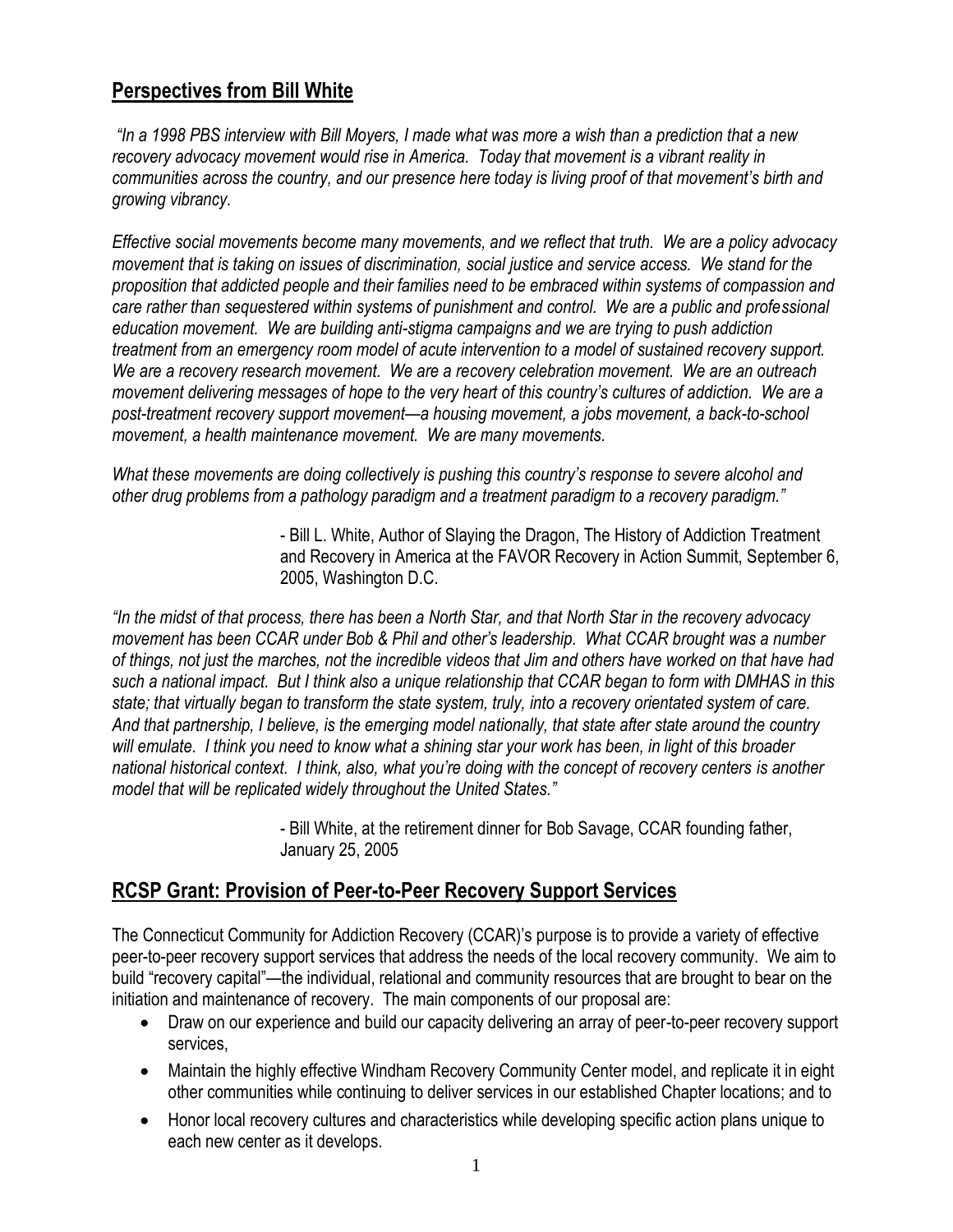#### **Perspectives from Bill White**

*"In a 1998 PBS interview with Bill Moyers, I made what was more a wish than a prediction that a new recovery advocacy movement would rise in America. Today that movement is a vibrant reality in communities across the country, and our presence here today is living proof of that movement's birth and growing vibrancy.* 

*Effective social movements become many movements, and we reflect that truth. We are a policy advocacy movement that is taking on issues of discrimination, social justice and service access. We stand for the proposition that addicted people and their families need to be embraced within systems of compassion and care rather than sequestered within systems of punishment and control. We are a public and professional education movement. We are building anti-stigma campaigns and we are trying to push addiction treatment from an emergency room model of acute intervention to a model of sustained recovery support. We are a recovery research movement. We are a recovery celebration movement. We are an outreach movement delivering messages of hope to the very heart of this country's cultures of addiction. We are a post-treatment recovery support movement—a housing movement, a jobs movement, a back-to-school movement, a health maintenance movement. We are many movements.*

*What these movements are doing collectively is pushing this country's response to severe alcohol and other drug problems from a pathology paradigm and a treatment paradigm to a recovery paradigm."*

> - Bill L. White, Author of Slaying the Dragon, The History of Addiction Treatment and Recovery in America at the FAVOR Recovery in Action Summit, September 6, 2005, Washington D.C.

*"In the midst of that process, there has been a North Star, and that North Star in the recovery advocacy movement has been CCAR under Bob & Phil and other's leadership. What CCAR brought was a number of things, not just the marches, not the incredible videos that Jim and others have worked on that have had such a national impact. But I think also a unique relationship that CCAR began to form with DMHAS in this state; that virtually began to transform the state system, truly, into a recovery orientated system of care. And that partnership, I believe, is the emerging model nationally, that state after state around the country will emulate. I think you need to know what a shining star your work has been, in light of this broader national historical context. I think, also, what you're doing with the concept of recovery centers is another model that will be replicated widely throughout the United States."* 

> - Bill White, at the retirement dinner for Bob Savage, CCAR founding father, January 25, 2005

### **RCSP Grant: Provision of Peer-to-Peer Recovery Support Services**

The Connecticut Community for Addiction Recovery (CCAR)'s purpose is to provide a variety of effective peer-to-peer recovery support services that address the needs of the local recovery community. We aim to build "recovery capital"—the individual, relational and community resources that are brought to bear on the initiation and maintenance of recovery. The main components of our proposal are:

- Draw on our experience and build our capacity delivering an array of peer-to-peer recovery support services,
- Maintain the highly effective Windham Recovery Community Center model, and replicate it in eight other communities while continuing to deliver services in our established Chapter locations; and to
- Honor local recovery cultures and characteristics while developing specific action plans unique to each new center as it develops.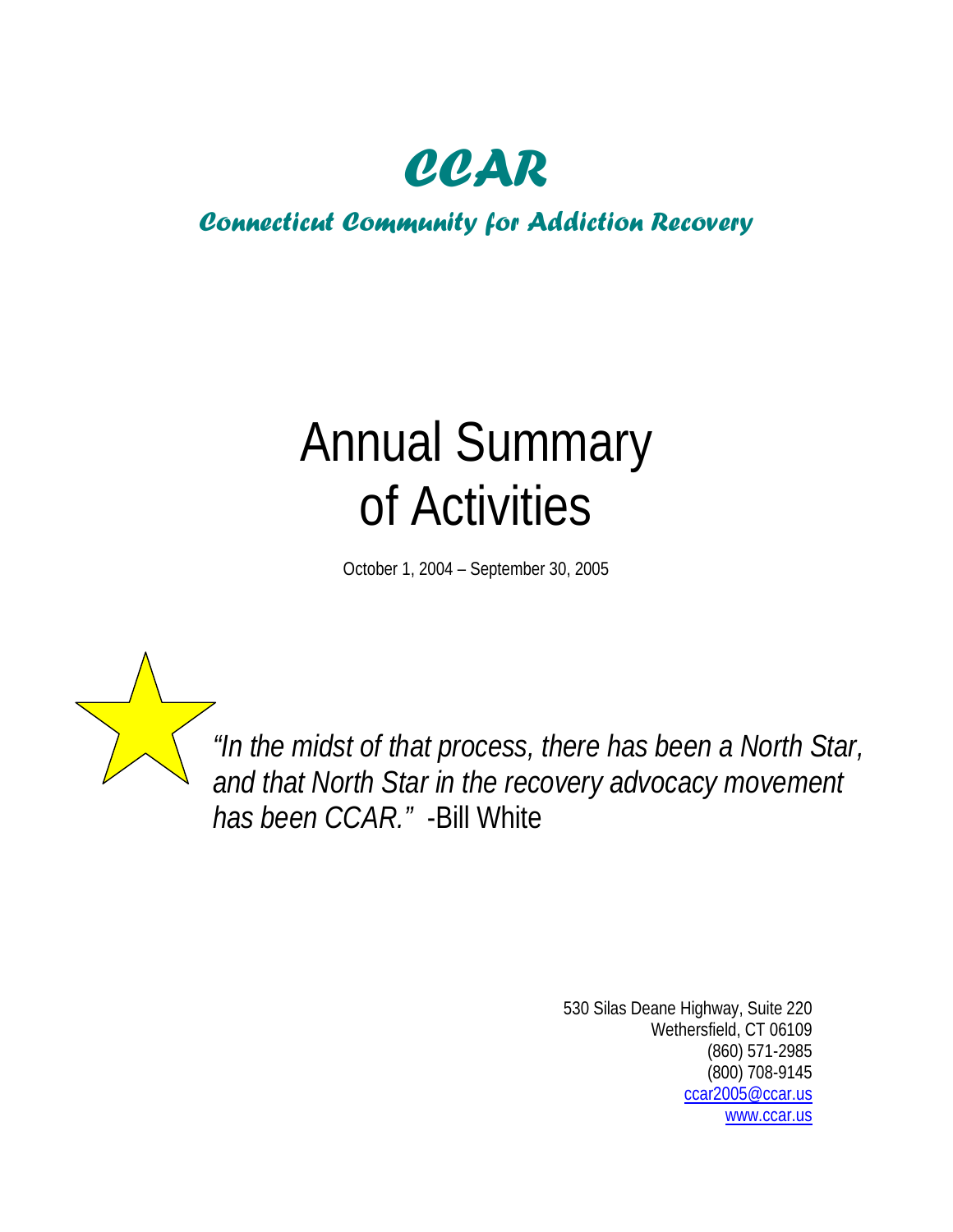

# *Connecticut Community for Addiction Recovery*

# Annual Summary of Activities

October 1, 2004 – September 30, 2005



*"In the midst of that process, there has been a North Star, and that North Star in the recovery advocacy movement has been CCAR."* -Bill White

> 530 Silas Deane Highway, Suite 220 Wethersfield, CT 06109 (860) 571-2985 (800) 708-9145 [ccar2005@ccar.us](mailto:ccar2005@ccar.us) [www.ccar.us](http://www.ccar.us/)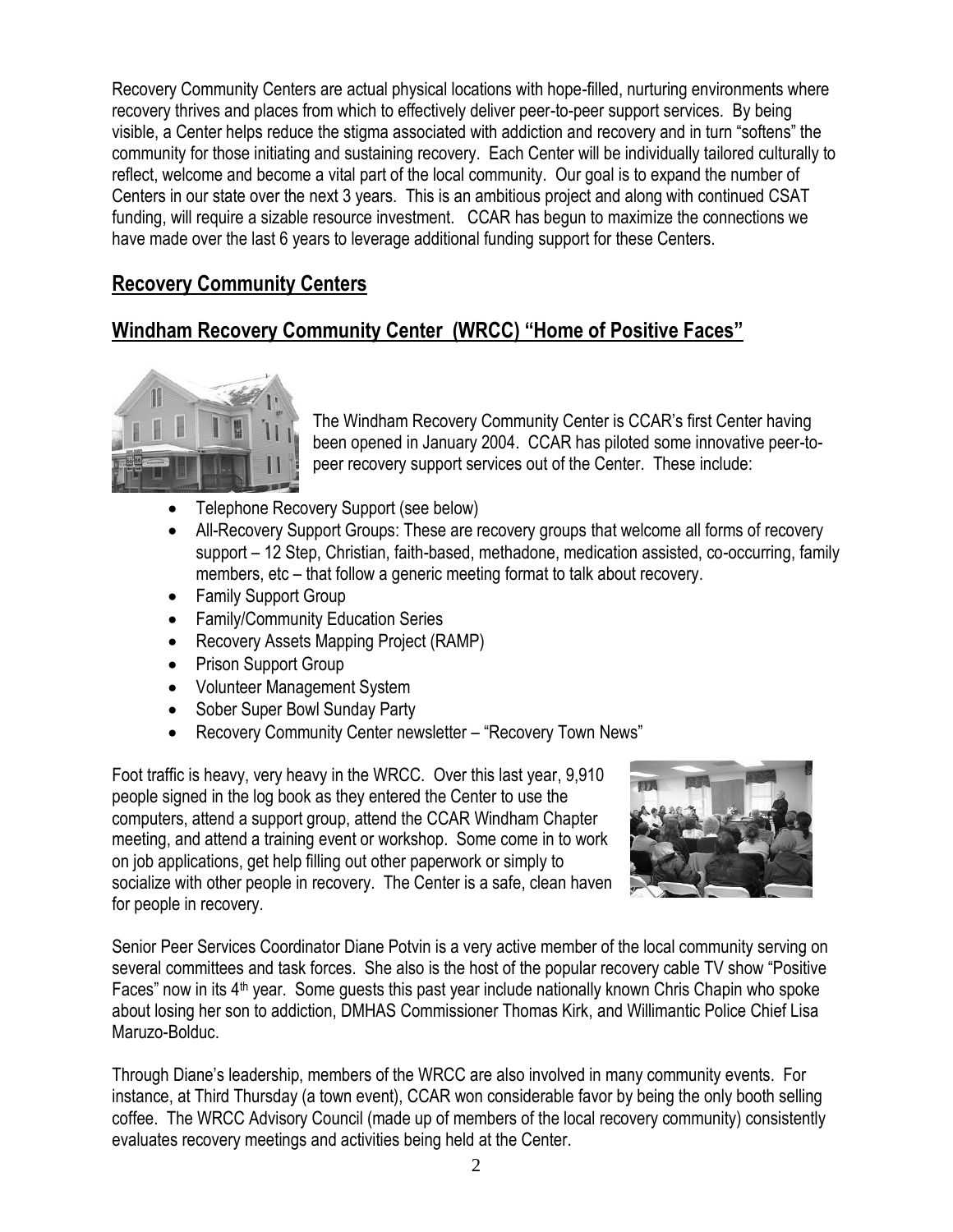Recovery Community Centers are actual physical locations with hope-filled, nurturing environments where recovery thrives and places from which to effectively deliver peer-to-peer support services. By being visible, a Center helps reduce the stigma associated with addiction and recovery and in turn "softens" the community for those initiating and sustaining recovery. Each Center will be individually tailored culturally to reflect, welcome and become a vital part of the local community. Our goal is to expand the number of Centers in our state over the next 3 years. This is an ambitious project and along with continued CSAT funding, will require a sizable resource investment. CCAR has begun to maximize the connections we have made over the last 6 years to leverage additional funding support for these Centers.

## **Recovery Community Centers**

## **Windham Recovery Community Center (WRCC) "Home of Positive Faces"**



The Windham Recovery Community Center is CCAR's first Center having been opened in January 2004. CCAR has piloted some innovative peer-topeer recovery support services out of the Center. These include:

- Telephone Recovery Support (see below)
- All-Recovery Support Groups: These are recovery groups that welcome all forms of recovery support – 12 Step, Christian, faith-based, methadone, medication assisted, co-occurring, family members, etc – that follow a generic meeting format to talk about recovery.
- Family Support Group
- Family/Community Education Series
- Recovery Assets Mapping Project (RAMP)
- Prison Support Group
- Volunteer Management System
- Sober Super Bowl Sunday Party
- Recovery Community Center newsletter "Recovery Town News"

Foot traffic is heavy, very heavy in the WRCC. Over this last year, 9,910 people signed in the log book as they entered the Center to use the computers, attend a support group, attend the CCAR Windham Chapter meeting, and attend a training event or workshop. Some come in to work on job applications, get help filling out other paperwork or simply to socialize with other people in recovery. The Center is a safe, clean haven for people in recovery.



Senior Peer Services Coordinator Diane Potvin is a very active member of the local community serving on several committees and task forces. She also is the host of the popular recovery cable TV show "Positive Faces" now in its 4th year. Some guests this past year include nationally known Chris Chapin who spoke about losing her son to addiction, DMHAS Commissioner Thomas Kirk, and Willimantic Police Chief Lisa Maruzo-Bolduc.

Through Diane's leadership, members of the WRCC are also involved in many community events. For instance, at Third Thursday (a town event), CCAR won considerable favor by being the only booth selling coffee. The WRCC Advisory Council (made up of members of the local recovery community) consistently evaluates recovery meetings and activities being held at the Center.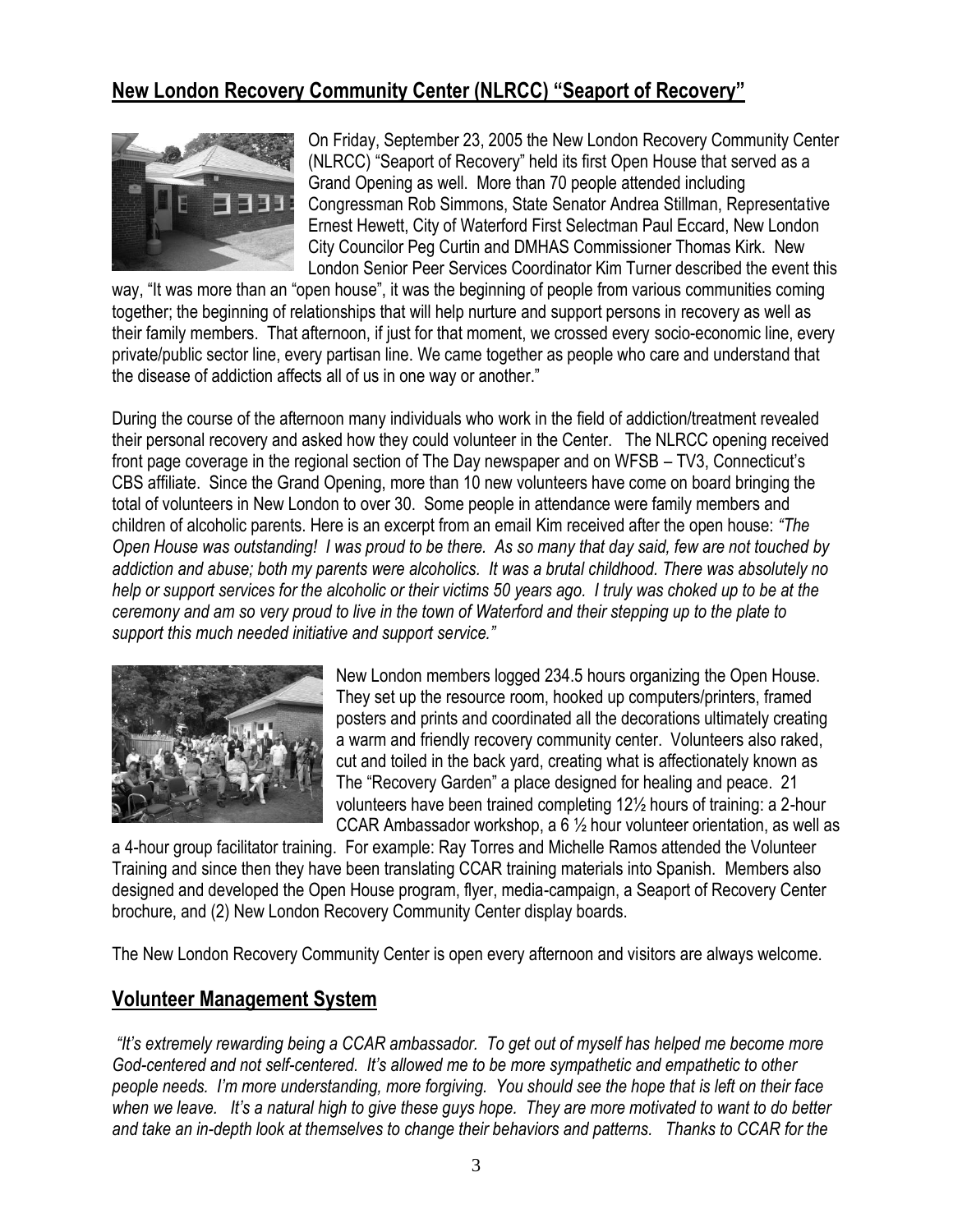#### **New London Recovery Community Center (NLRCC) "Seaport of Recovery"**



On Friday, September 23, 2005 the New London Recovery Community Center (NLRCC) "Seaport of Recovery" held its first Open House that served as a Grand Opening as well. More than 70 people attended including Congressman Rob Simmons, State Senator Andrea Stillman, Representative Ernest Hewett, City of Waterford First Selectman Paul Eccard, New London City Councilor Peg Curtin and DMHAS Commissioner Thomas Kirk. New London Senior Peer Services Coordinator Kim Turner described the event this

way, "It was more than an "open house", it was the beginning of people from various communities coming together; the beginning of relationships that will help nurture and support persons in recovery as well as their family members. That afternoon, if just for that moment, we crossed every socio-economic line, every private/public sector line, every partisan line. We came together as people who care and understand that the disease of addiction affects all of us in one way or another."

During the course of the afternoon many individuals who work in the field of addiction/treatment revealed their personal recovery and asked how they could volunteer in the Center. The NLRCC opening received front page coverage in the regional section of The Day newspaper and on WFSB – TV3, Connecticut's CBS affiliate. Since the Grand Opening, more than 10 new volunteers have come on board bringing the total of volunteers in New London to over 30. Some people in attendance were family members and children of alcoholic parents. Here is an excerpt from an email Kim received after the open house: *"The Open House was outstanding! I was proud to be there. As so many that day said, few are not touched by addiction and abuse; both my parents were alcoholics. It was a brutal childhood. There was absolutely no help or support services for the alcoholic or their victims 50 years ago. I truly was choked up to be at the ceremony and am so very proud to live in the town of Waterford and their stepping up to the plate to support this much needed initiative and support service."* 



New London members logged 234.5 hours organizing the Open House. They set up the resource room, hooked up computers/printers, framed posters and prints and coordinated all the decorations ultimately creating a warm and friendly recovery community center. Volunteers also raked, cut and toiled in the back yard, creating what is affectionately known as The "Recovery Garden" a place designed for healing and peace. 21 volunteers have been trained completing 12½ hours of training: a 2-hour CCAR Ambassador workshop, a 6 ½ hour volunteer orientation, as well as

a 4-hour group facilitator training. For example: Ray Torres and Michelle Ramos attended the Volunteer Training and since then they have been translating CCAR training materials into Spanish. Members also designed and developed the Open House program, flyer, media-campaign, a Seaport of Recovery Center brochure, and (2) New London Recovery Community Center display boards.

The New London Recovery Community Center is open every afternoon and visitors are always welcome.

#### **Volunteer Management System**

*"It's extremely rewarding being a CCAR ambassador. To get out of myself has helped me become more God-centered and not self-centered. It's allowed me to be more sympathetic and empathetic to other people needs. I'm more understanding, more forgiving. You should see the hope that is left on their face when we leave. It's a natural high to give these guys hope. They are more motivated to want to do better and take an in-depth look at themselves to change their behaviors and patterns. Thanks to CCAR for the*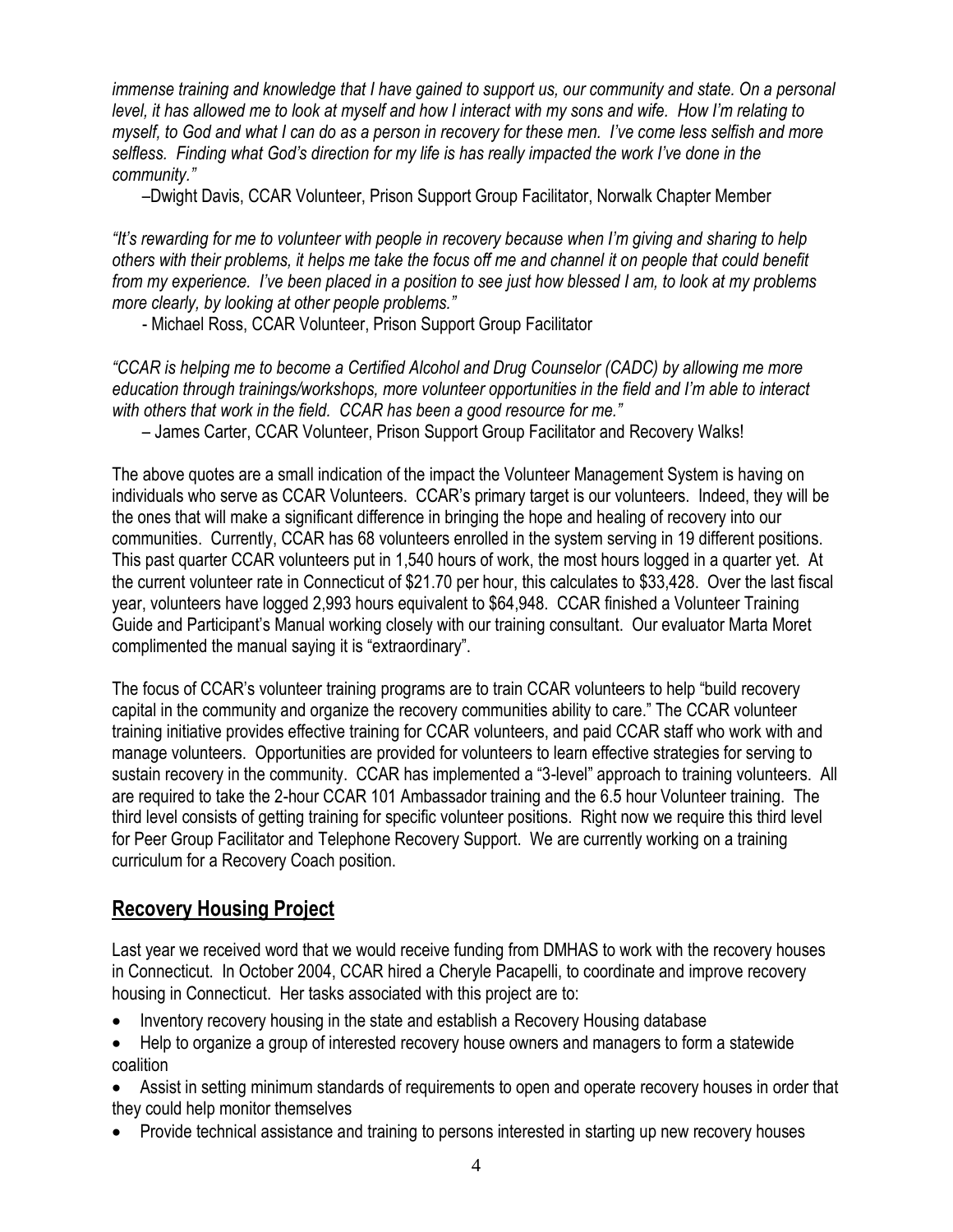*immense training and knowledge that I have gained to support us, our community and state. On a personal level, it has allowed me to look at myself and how I interact with my sons and wife. How I'm relating to myself, to God and what I can do as a person in recovery for these men. I've come less selfish and more selfless. Finding what God's direction for my life is has really impacted the work I've done in the community."*

–Dwight Davis, CCAR Volunteer, Prison Support Group Facilitator, Norwalk Chapter Member

*"It's rewarding for me to volunteer with people in recovery because when I'm giving and sharing to help others with their problems, it helps me take the focus off me and channel it on people that could benefit from my experience. I've been placed in a position to see just how blessed I am, to look at my problems more clearly, by looking at other people problems."*

- Michael Ross, CCAR Volunteer, Prison Support Group Facilitator

*"CCAR is helping me to become a Certified Alcohol and Drug Counselor (CADC) by allowing me more education through trainings/workshops, more volunteer opportunities in the field and I'm able to interact with others that work in the field. CCAR has been a good resource for me."* 

– James Carter, CCAR Volunteer, Prison Support Group Facilitator and Recovery Walks!

The above quotes are a small indication of the impact the Volunteer Management System is having on individuals who serve as CCAR Volunteers. CCAR's primary target is our volunteers. Indeed, they will be the ones that will make a significant difference in bringing the hope and healing of recovery into our communities. Currently, CCAR has 68 volunteers enrolled in the system serving in 19 different positions. This past quarter CCAR volunteers put in 1,540 hours of work, the most hours logged in a quarter yet. At the current volunteer rate in Connecticut of \$21.70 per hour, this calculates to \$33,428. Over the last fiscal year, volunteers have logged 2,993 hours equivalent to \$64,948. CCAR finished a Volunteer Training Guide and Participant's Manual working closely with our training consultant. Our evaluator Marta Moret complimented the manual saying it is "extraordinary".

The focus of CCAR's volunteer training programs are to train CCAR volunteers to help "build recovery capital in the community and organize the recovery communities ability to care." The CCAR volunteer training initiative provides effective training for CCAR volunteers, and paid CCAR staff who work with and manage volunteers. Opportunities are provided for volunteers to learn effective strategies for serving to sustain recovery in the community. CCAR has implemented a "3-level" approach to training volunteers. All are required to take the 2-hour CCAR 101 Ambassador training and the 6.5 hour Volunteer training. The third level consists of getting training for specific volunteer positions. Right now we require this third level for Peer Group Facilitator and Telephone Recovery Support. We are currently working on a training curriculum for a Recovery Coach position.

#### **Recovery Housing Project**

Last year we received word that we would receive funding from DMHAS to work with the recovery houses in Connecticut. In October 2004, CCAR hired a Cheryle Pacapelli, to coordinate and improve recovery housing in Connecticut. Her tasks associated with this project are to:

- Inventory recovery housing in the state and establish a Recovery Housing database
- Help to organize a group of interested recovery house owners and managers to form a statewide coalition
- Assist in setting minimum standards of requirements to open and operate recovery houses in order that they could help monitor themselves
- Provide technical assistance and training to persons interested in starting up new recovery houses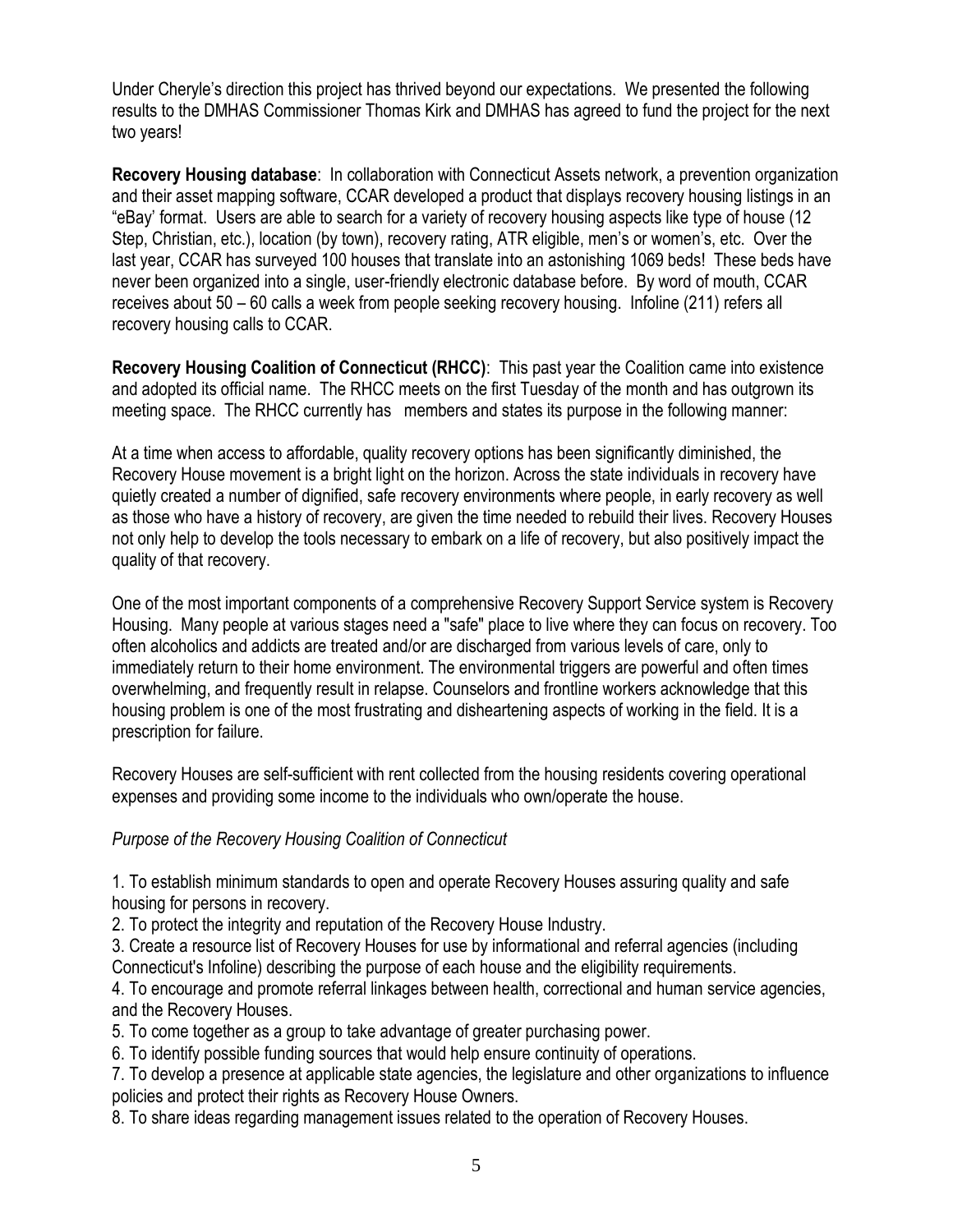Under Cheryle's direction this project has thrived beyond our expectations. We presented the following results to the DMHAS Commissioner Thomas Kirk and DMHAS has agreed to fund the project for the next two years!

**Recovery Housing database**: In collaboration with Connecticut Assets network, a prevention organization and their asset mapping software, CCAR developed a product that displays recovery housing listings in an "eBay' format. Users are able to search for a variety of recovery housing aspects like type of house (12 Step, Christian, etc.), location (by town), recovery rating, ATR eligible, men's or women's, etc. Over the last year, CCAR has surveyed 100 houses that translate into an astonishing 1069 beds! These beds have never been organized into a single, user-friendly electronic database before. By word of mouth, CCAR receives about 50 – 60 calls a week from people seeking recovery housing. Infoline (211) refers all recovery housing calls to CCAR.

**Recovery Housing Coalition of Connecticut (RHCC)**: This past year the Coalition came into existence and adopted its official name. The RHCC meets on the first Tuesday of the month and has outgrown its meeting space. The RHCC currently has members and states its purpose in the following manner:

At a time when access to affordable, quality recovery options has been significantly diminished, the Recovery House movement is a bright light on the horizon. Across the state individuals in recovery have quietly created a number of dignified, safe recovery environments where people, in early recovery as well as those who have a history of recovery, are given the time needed to rebuild their lives. Recovery Houses not only help to develop the tools necessary to embark on a life of recovery, but also positively impact the quality of that recovery.

One of the most important components of a comprehensive Recovery Support Service system is Recovery Housing. Many people at various stages need a "safe" place to live where they can focus on recovery. Too often alcoholics and addicts are treated and/or are discharged from various levels of care, only to immediately return to their home environment. The environmental triggers are powerful and often times overwhelming, and frequently result in relapse. Counselors and frontline workers acknowledge that this housing problem is one of the most frustrating and disheartening aspects of working in the field. It is a prescription for failure.

Recovery Houses are self-sufficient with rent collected from the housing residents covering operational expenses and providing some income to the individuals who own/operate the house.

#### *Purpose of the Recovery Housing Coalition of Connecticut*

1. To establish minimum standards to open and operate Recovery Houses assuring quality and safe housing for persons in recovery.

2. To protect the integrity and reputation of the Recovery House Industry.

3. Create a resource list of Recovery Houses for use by informational and referral agencies (including Connecticut's Infoline) describing the purpose of each house and the eligibility requirements.

4. To encourage and promote referral linkages between health, correctional and human service agencies, and the Recovery Houses.

5. To come together as a group to take advantage of greater purchasing power.

6. To identify possible funding sources that would help ensure continuity of operations.

7. To develop a presence at applicable state agencies, the legislature and other organizations to influence policies and protect their rights as Recovery House Owners.

8. To share ideas regarding management issues related to the operation of Recovery Houses.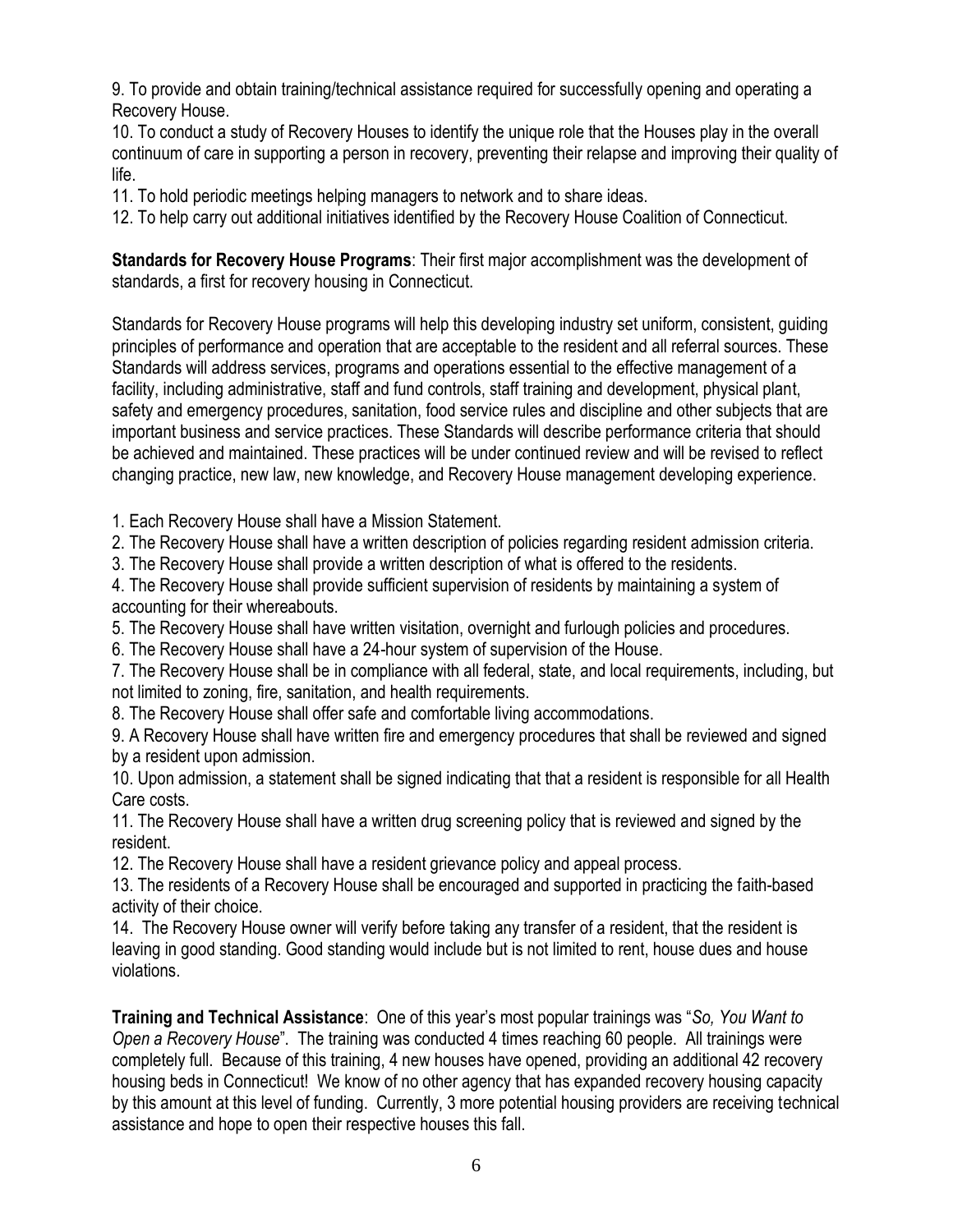9. To provide and obtain training/technical assistance required for successfully opening and operating a Recovery House.

10. To conduct a study of Recovery Houses to identify the unique role that the Houses play in the overall continuum of care in supporting a person in recovery, preventing their relapse and improving their quality of life.

11. To hold periodic meetings helping managers to network and to share ideas.

12. To help carry out additional initiatives identified by the Recovery House Coalition of Connecticut.

**Standards for Recovery House Programs**: Their first major accomplishment was the development of standards, a first for recovery housing in Connecticut.

Standards for Recovery House programs will help this developing industry set uniform, consistent, guiding principles of performance and operation that are acceptable to the resident and all referral sources. These Standards will address services, programs and operations essential to the effective management of a facility, including administrative, staff and fund controls, staff training and development, physical plant, safety and emergency procedures, sanitation, food service rules and discipline and other subjects that are important business and service practices. These Standards will describe performance criteria that should be achieved and maintained. These practices will be under continued review and will be revised to reflect changing practice, new law, new knowledge, and Recovery House management developing experience.

1. Each Recovery House shall have a Mission Statement.

2. The Recovery House shall have a written description of policies regarding resident admission criteria.

3. The Recovery House shall provide a written description of what is offered to the residents.

4. The Recovery House shall provide sufficient supervision of residents by maintaining a system of accounting for their whereabouts.

5. The Recovery House shall have written visitation, overnight and furlough policies and procedures.

6. The Recovery House shall have a 24-hour system of supervision of the House.

7. The Recovery House shall be in compliance with all federal, state, and local requirements, including, but not limited to zoning, fire, sanitation, and health requirements.

8. The Recovery House shall offer safe and comfortable living accommodations.

9. A Recovery House shall have written fire and emergency procedures that shall be reviewed and signed by a resident upon admission.

10. Upon admission, a statement shall be signed indicating that that a resident is responsible for all Health Care costs.

11. The Recovery House shall have a written drug screening policy that is reviewed and signed by the resident.

12. The Recovery House shall have a resident grievance policy and appeal process.

13. The residents of a Recovery House shall be encouraged and supported in practicing the faith-based activity of their choice.

14. The Recovery House owner will verify before taking any transfer of a resident, that the resident is leaving in good standing. Good standing would include but is not limited to rent, house dues and house violations.

**Training and Technical Assistance**:One of this year's most popular trainings was "*So, You Want to Open a Recovery House*". The training was conducted 4 times reaching 60 people. All trainings were completely full. Because of this training, 4 new houses have opened, providing an additional 42 recovery housing beds in Connecticut! We know of no other agency that has expanded recovery housing capacity by this amount at this level of funding. Currently, 3 more potential housing providers are receiving technical assistance and hope to open their respective houses this fall.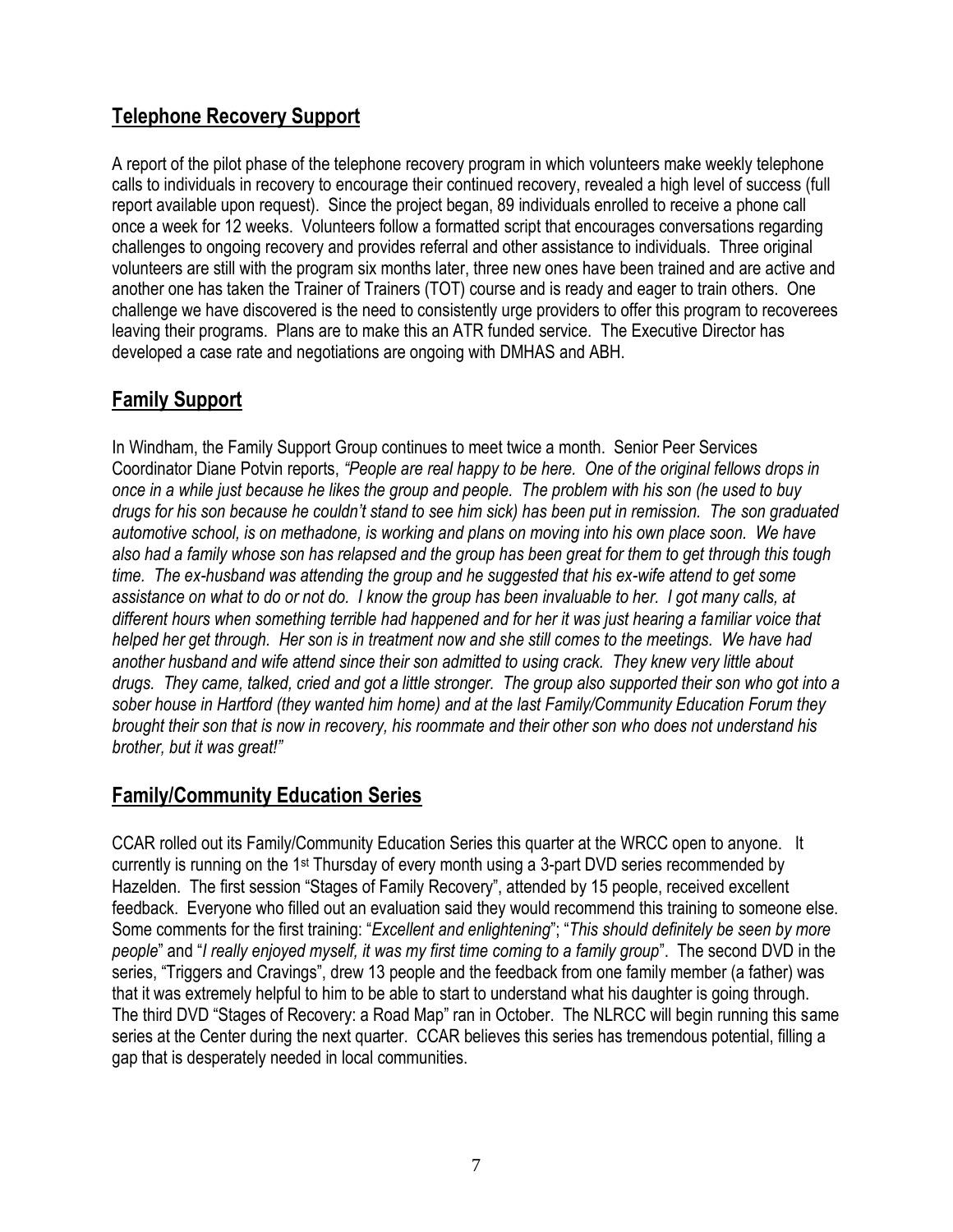## **Telephone Recovery Support**

A report of the pilot phase of the telephone recovery program in which volunteers make weekly telephone calls to individuals in recovery to encourage their continued recovery, revealed a high level of success (full report available upon request). Since the project began, 89 individuals enrolled to receive a phone call once a week for 12 weeks. Volunteers follow a formatted script that encourages conversations regarding challenges to ongoing recovery and provides referral and other assistance to individuals. Three original volunteers are still with the program six months later, three new ones have been trained and are active and another one has taken the Trainer of Trainers (TOT) course and is ready and eager to train others. One challenge we have discovered is the need to consistently urge providers to offer this program to recoverees leaving their programs. Plans are to make this an ATR funded service. The Executive Director has developed a case rate and negotiations are ongoing with DMHAS and ABH.

### **Family Support**

In Windham, the Family Support Group continues to meet twice a month. Senior Peer Services Coordinator Diane Potvin reports, *"People are real happy to be here. One of the original fellows drops in once in a while just because he likes the group and people. The problem with his son (he used to buy drugs for his son because he couldn't stand to see him sick) has been put in remission. The son graduated automotive school, is on methadone, is working and plans on moving into his own place soon. We have also had a family whose son has relapsed and the group has been great for them to get through this tough time. The ex-husband was attending the group and he suggested that his ex-wife attend to get some assistance on what to do or not do. I know the group has been invaluable to her. I got many calls, at different hours when something terrible had happened and for her it was just hearing a familiar voice that helped her get through. Her son is in treatment now and she still comes to the meetings. We have had another husband and wife attend since their son admitted to using crack. They knew very little about drugs. They came, talked, cried and got a little stronger. The group also supported their son who got into a sober house in Hartford (they wanted him home) and at the last Family/Community Education Forum they brought their son that is now in recovery, his roommate and their other son who does not understand his brother, but it was great!"*

### **Family/Community Education Series**

CCAR rolled out its Family/Community Education Series this quarter at the WRCC open to anyone. It currently is running on the 1st Thursday of every month using a 3-part DVD series recommended by Hazelden. The first session "Stages of Family Recovery", attended by 15 people, received excellent feedback. Everyone who filled out an evaluation said they would recommend this training to someone else. Some comments for the first training: "*Excellent and enlightening*"; "*This should definitely be seen by more people*" and "*I really enjoyed myself, it was my first time coming to a family group*". The second DVD in the series, "Triggers and Cravings", drew 13 people and the feedback from one family member (a father) was that it was extremely helpful to him to be able to start to understand what his daughter is going through. The third DVD "Stages of Recovery: a Road Map" ran in October. The NLRCC will begin running this same series at the Center during the next quarter. CCAR believes this series has tremendous potential, filling a gap that is desperately needed in local communities.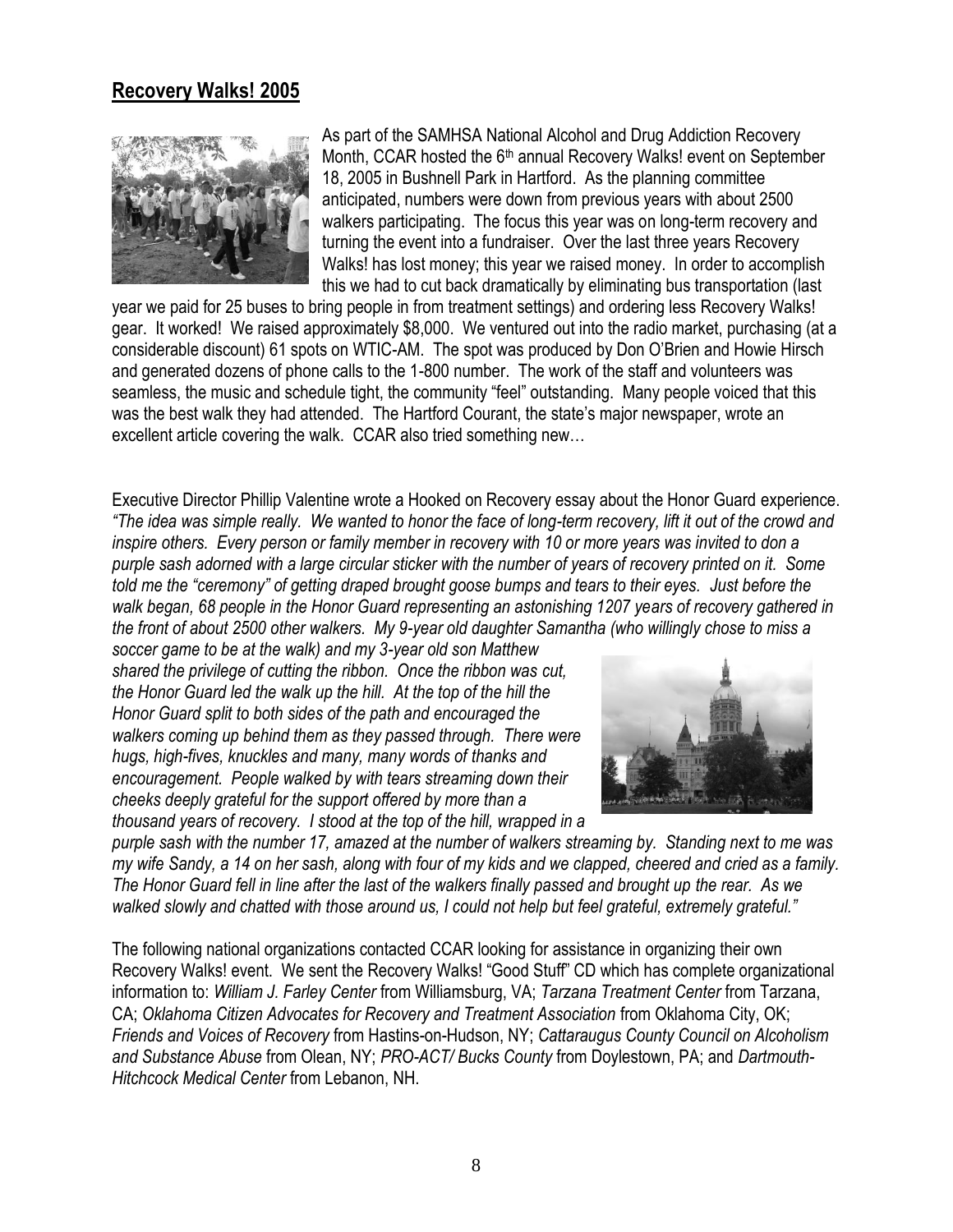#### **Recovery Walks! 2005**



As part of the SAMHSA National Alcohol and Drug Addiction Recovery Month, CCAR hosted the  $6<sup>th</sup>$  annual Recovery Walks! event on September 18, 2005 in Bushnell Park in Hartford. As the planning committee anticipated, numbers were down from previous years with about 2500 walkers participating. The focus this year was on long-term recovery and turning the event into a fundraiser. Over the last three years Recovery Walks! has lost money; this year we raised money. In order to accomplish this we had to cut back dramatically by eliminating bus transportation (last

year we paid for 25 buses to bring people in from treatment settings) and ordering less Recovery Walks! gear. It worked! We raised approximately \$8,000. We ventured out into the radio market, purchasing (at a considerable discount) 61 spots on WTIC-AM. The spot was produced by Don O'Brien and Howie Hirsch and generated dozens of phone calls to the 1-800 number. The work of the staff and volunteers was seamless, the music and schedule tight, the community "feel" outstanding. Many people voiced that this was the best walk they had attended. The Hartford Courant, the state's major newspaper, wrote an excellent article covering the walk. CCAR also tried something new…

Executive Director Phillip Valentine wrote a Hooked on Recovery essay about the Honor Guard experience. *"The idea was simple really. We wanted to honor the face of long-term recovery, lift it out of the crowd and inspire others. Every person or family member in recovery with 10 or more years was invited to don a purple sash adorned with a large circular sticker with the number of years of recovery printed on it. Some told me the "ceremony" of getting draped brought goose bumps and tears to their eyes. Just before the walk began, 68 people in the Honor Guard representing an astonishing 1207 years of recovery gathered in the front of about 2500 other walkers. My 9-year old daughter Samantha (who willingly chose to miss a* 

*soccer game to be at the walk) and my 3-year old son Matthew shared the privilege of cutting the ribbon. Once the ribbon was cut, the Honor Guard led the walk up the hill. At the top of the hill the Honor Guard split to both sides of the path and encouraged the walkers coming up behind them as they passed through. There were hugs, high-fives, knuckles and many, many words of thanks and encouragement. People walked by with tears streaming down their cheeks deeply grateful for the support offered by more than a thousand years of recovery. I stood at the top of the hill, wrapped in a* 



*purple sash with the number 17, amazed at the number of walkers streaming by. Standing next to me was my wife Sandy, a 14 on her sash, along with four of my kids and we clapped, cheered and cried as a family. The Honor Guard fell in line after the last of the walkers finally passed and brought up the rear. As we walked slowly and chatted with those around us, I could not help but feel grateful, extremely grateful."*

The following national organizations contacted CCAR looking for assistance in organizing their own Recovery Walks! event. We sent the Recovery Walks! "Good Stuff" CD which has complete organizational information to: *William J. Farley Center* from Williamsburg, VA; *Tarzana Treatment Center* from Tarzana, CA; *Oklahoma Citizen Advocates for Recovery and Treatment Association* from Oklahoma City, OK; *Friends and Voices of Recovery* from Hastins-on-Hudson, NY; *Cattaraugus County Council on Alcoholism and Substance Abuse* from Olean, NY; *PRO-ACT/ Bucks County* from Doylestown, PA; and *Dartmouth-Hitchcock Medical Center* from Lebanon, NH.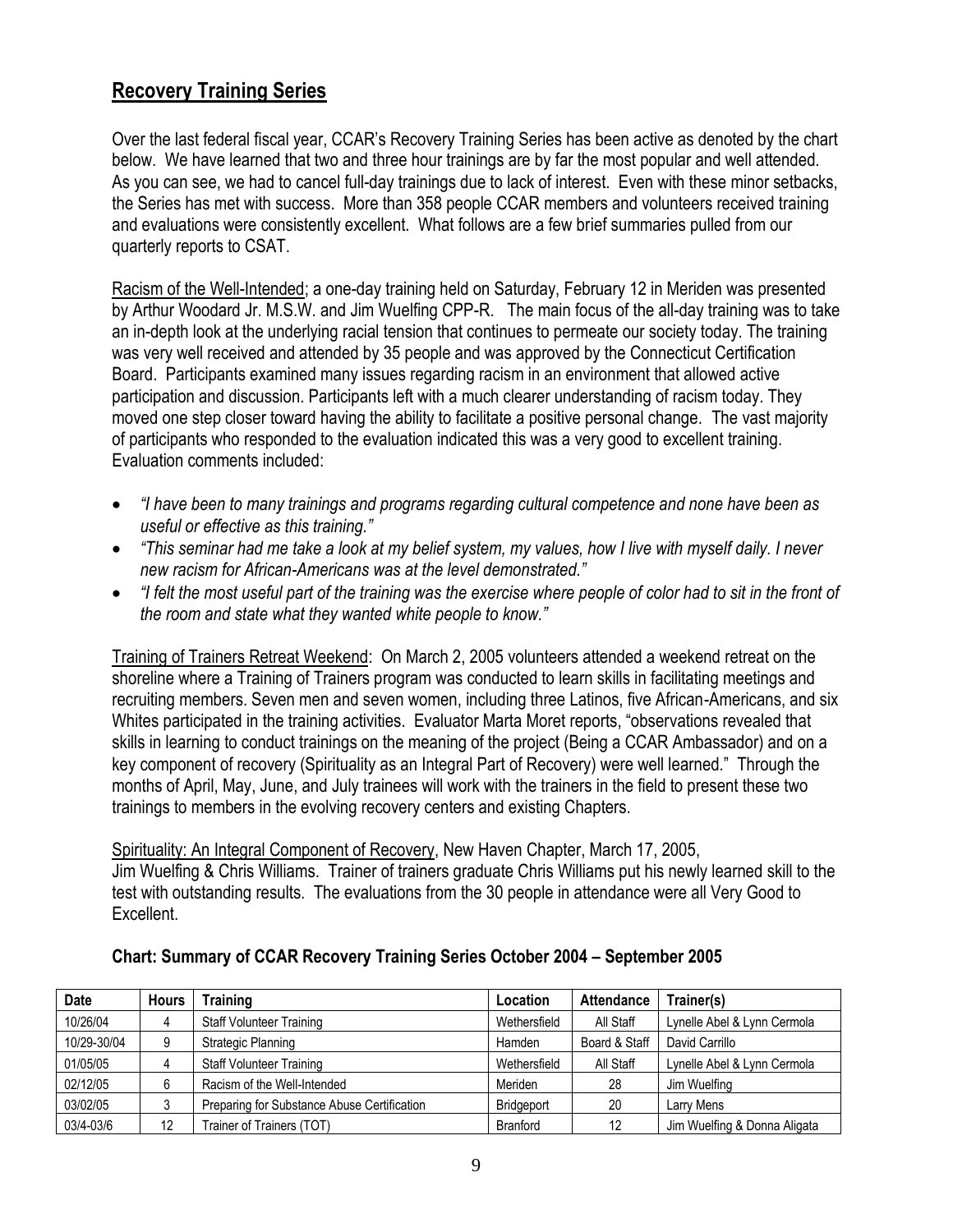### **Recovery Training Series**

Over the last federal fiscal year, CCAR's Recovery Training Series has been active as denoted by the chart below. We have learned that two and three hour trainings are by far the most popular and well attended. As you can see, we had to cancel full-day trainings due to lack of interest. Even with these minor setbacks, the Series has met with success. More than 358 people CCAR members and volunteers received training and evaluations were consistently excellent. What follows are a few brief summaries pulled from our quarterly reports to CSAT.

Racism of the Well-Intended; a one-day training held on Saturday, February 12 in Meriden was presented by Arthur Woodard Jr. M.S.W. and Jim Wuelfing CPP-R. The main focus of the all-day training was to take an in-depth look at the underlying racial tension that continues to permeate our society today. The training was very well received and attended by 35 people and was approved by the Connecticut Certification Board. Participants examined many issues regarding racism in an environment that allowed active participation and discussion. Participants left with a much clearer understanding of racism today. They moved one step closer toward having the ability to facilitate a positive personal change. The vast majority of participants who responded to the evaluation indicated this was a very good to excellent training. Evaluation comments included:

- *"I have been to many trainings and programs regarding cultural competence and none have been as useful or effective as this training."*
- *"This seminar had me take a look at my belief system, my values, how I live with myself daily. I never new racism for African-Americans was at the level demonstrated."*
- *"I felt the most useful part of the training was the exercise where people of color had to sit in the front of the room and state what they wanted white people to know."*

Training of Trainers Retreat Weekend: On March 2, 2005 volunteers attended a weekend retreat on the shoreline where a Training of Trainers program was conducted to learn skills in facilitating meetings and recruiting members. Seven men and seven women, including three Latinos, five African-Americans, and six Whites participated in the training activities. Evaluator Marta Moret reports, "observations revealed that skills in learning to conduct trainings on the meaning of the project (Being a CCAR Ambassador) and on a key component of recovery (Spirituality as an Integral Part of Recovery) were well learned." Through the months of April, May, June, and July trainees will work with the trainers in the field to present these two trainings to members in the evolving recovery centers and existing Chapters.

Spirituality: An Integral Component of Recovery, New Haven Chapter, March 17, 2005, Jim Wuelfing & Chris Williams. Trainer of trainers graduate Chris Williams put his newly learned skill to the test with outstanding results. The evaluations from the 30 people in attendance were all Very Good to Excellent.

| <b>Date</b> | <b>Hours</b> | <b>Training</b>                             | Location     | <b>Attendance</b> | Trainer(s)                   |
|-------------|--------------|---------------------------------------------|--------------|-------------------|------------------------------|
| 10/26/04    | 4            | <b>Staff Volunteer Training</b>             | Wethersfield | All Staff         | Lynelle Abel & Lynn Cermola  |
| 10/29-30/04 | 9            | Strategic Planning                          | Hamden       | Board & Staff     | David Carrillo               |
| 01/05/05    | 4            | <b>Staff Volunteer Training</b>             | Wethersfield | All Staff         | Lynelle Abel & Lynn Cermola  |
| 02/12/05    | 6            | Racism of the Well-Intended                 | Meriden      | 28                | Jim Wuelfing                 |
| 03/02/05    |              | Preparing for Substance Abuse Certification | Bridgeport   | 20                | Larry Mens                   |
| 03/4-03/6   | 12           | Trainer of Trainers (TOT)                   | Branford     | 12                | Jim Wuelfing & Donna Aligata |

#### **Chart: Summary of CCAR Recovery Training Series October 2004 – September 2005**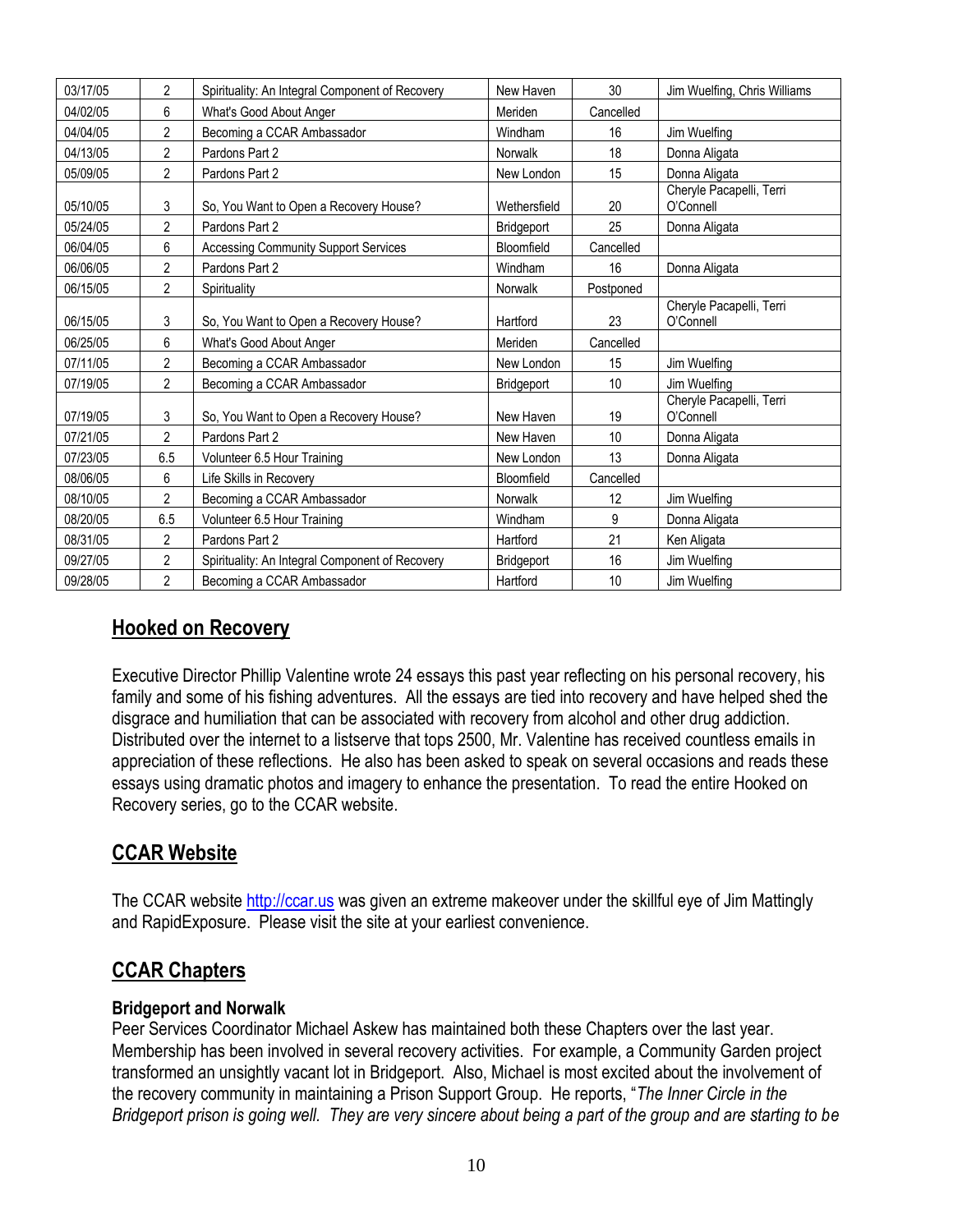| 03/17/05 | $\overline{2}$ | Spirituality: An Integral Component of Recovery | New Haven    | 30        | Jim Wuelfing, Chris Williams          |
|----------|----------------|-------------------------------------------------|--------------|-----------|---------------------------------------|
| 04/02/05 | 6              | What's Good About Anger                         | Meriden      | Cancelled |                                       |
| 04/04/05 | $\overline{2}$ | Becoming a CCAR Ambassador                      | Windham      | 16        | Jim Wuelfing                          |
| 04/13/05 | 2              | Pardons Part 2                                  | Norwalk      | 18        | Donna Aligata                         |
| 05/09/05 | $\overline{2}$ | Pardons Part 2                                  | New London   | 15        | Donna Aligata                         |
| 05/10/05 | 3              | So, You Want to Open a Recovery House?          | Wethersfield | 20        | Cheryle Pacapelli, Terri<br>O'Connell |
| 05/24/05 | 2              | Pardons Part 2                                  | Bridgeport   | 25        | Donna Aligata                         |
| 06/04/05 | 6              | <b>Accessing Community Support Services</b>     | Bloomfield   | Cancelled |                                       |
| 06/06/05 | $\overline{2}$ | Pardons Part 2                                  | Windham      | 16        | Donna Aligata                         |
| 06/15/05 | $\overline{2}$ | Spirituality                                    | Norwalk      | Postponed |                                       |
| 06/15/05 | 3              | So, You Want to Open a Recovery House?          | Hartford     | 23        | Cheryle Pacapelli, Terri<br>O'Connell |
| 06/25/05 | 6              | What's Good About Anger                         | Meriden      | Cancelled |                                       |
| 07/11/05 | $\overline{2}$ | Becoming a CCAR Ambassador                      | New London   | 15        | Jim Wuelfing                          |
| 07/19/05 | $\overline{2}$ | Becoming a CCAR Ambassador                      | Bridgeport   | 10        | Jim Wuelfing                          |
| 07/19/05 | 3              | So, You Want to Open a Recovery House?          | New Haven    | 19        | Cheryle Pacapelli, Terri<br>O'Connell |
| 07/21/05 | $\overline{2}$ | Pardons Part 2                                  | New Haven    | 10        | Donna Aligata                         |
| 07/23/05 | 6.5            | Volunteer 6.5 Hour Training                     | New London   | 13        | Donna Aligata                         |
| 08/06/05 | 6              | Life Skills in Recoverv                         | Bloomfield   | Cancelled |                                       |
| 08/10/05 | $\overline{2}$ | Becoming a CCAR Ambassador                      | Norwalk      | 12        | Jim Wuelfing                          |
| 08/20/05 | 6.5            | Volunteer 6.5 Hour Training                     | Windham      | 9         | Donna Aligata                         |
| 08/31/05 | $\overline{2}$ | Pardons Part 2                                  | Hartford     | 21        | Ken Aligata                           |
| 09/27/05 | $\overline{2}$ | Spirituality: An Integral Component of Recovery | Bridgeport   | 16        | Jim Wuelfing                          |
| 09/28/05 | $\overline{2}$ | Becoming a CCAR Ambassador                      | Hartford     | 10        | Jim Wuelfing                          |

### **Hooked on Recovery**

Executive Director Phillip Valentine wrote 24 essays this past year reflecting on his personal recovery, his family and some of his fishing adventures. All the essays are tied into recovery and have helped shed the disgrace and humiliation that can be associated with recovery from alcohol and other drug addiction. Distributed over the internet to a listserve that tops 2500, Mr. Valentine has received countless emails in appreciation of these reflections. He also has been asked to speak on several occasions and reads these essays using dramatic photos and imagery to enhance the presentation. To read the entire Hooked on Recovery series, go to the CCAR website.

## **CCAR Website**

The CCAR website [http://ccar.us](http://ccar.us/) was given an extreme makeover under the skillful eye of Jim Mattingly and RapidExposure. Please visit the site at your earliest convenience.

### **CCAR Chapters**

#### **Bridgeport and Norwalk**

Peer Services Coordinator Michael Askew has maintained both these Chapters over the last year. Membership has been involved in several recovery activities. For example, a Community Garden project transformed an unsightly vacant lot in Bridgeport. Also, Michael is most excited about the involvement of the recovery community in maintaining a Prison Support Group. He reports, "*The Inner Circle in the Bridgeport prison is going well. They are very sincere about being a part of the group and are starting to be*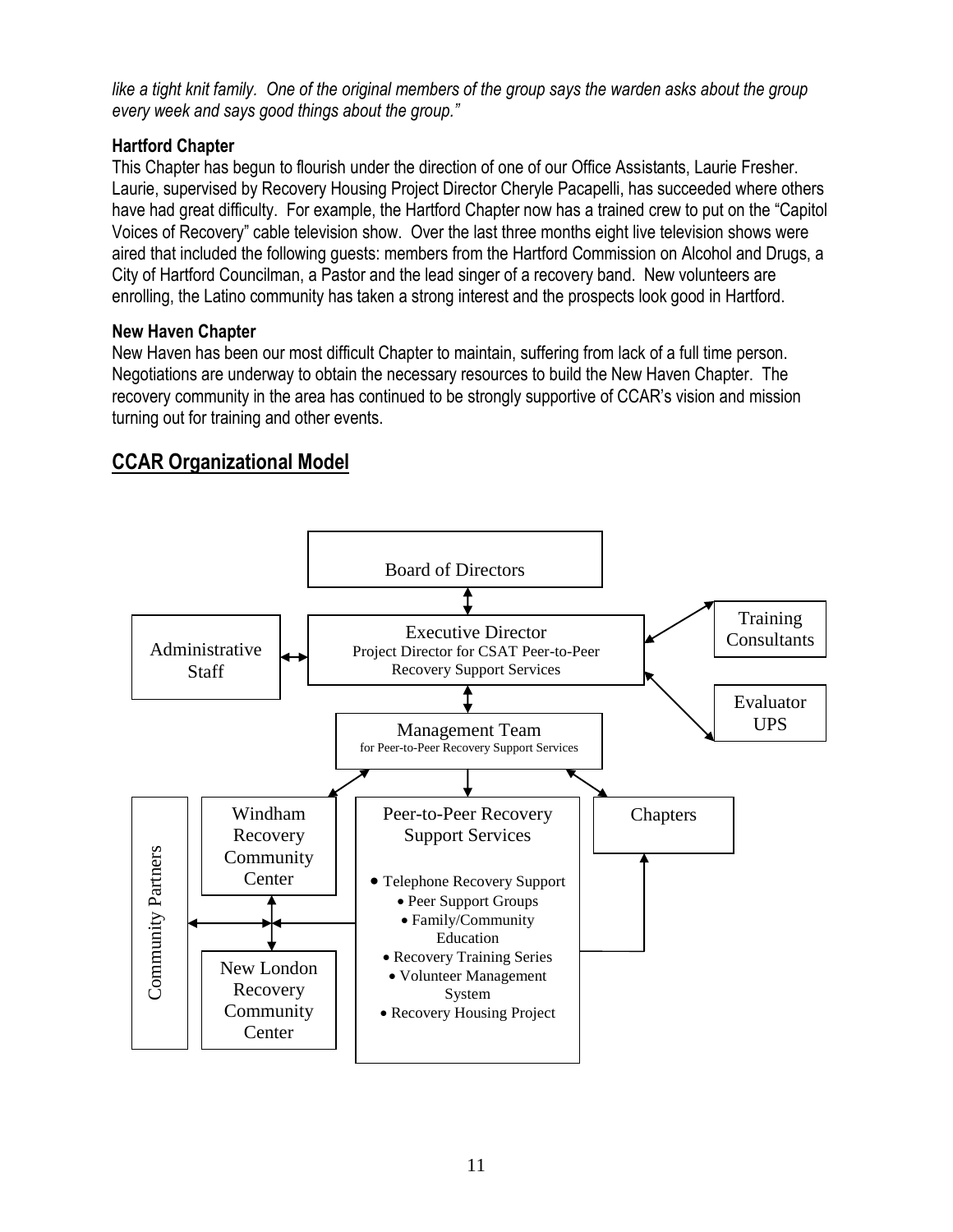like a tight knit family. One of the original members of the group says the warden asks about the group *every week and says good things about the group."* 

#### **Hartford Chapter**

This Chapter has begun to flourish under the direction of one of our Office Assistants, Laurie Fresher. Laurie, supervised by Recovery Housing Project Director Cheryle Pacapelli, has succeeded where others have had great difficulty. For example, the Hartford Chapter now has a trained crew to put on the "Capitol Voices of Recovery" cable television show. Over the last three months eight live television shows were aired that included the following guests: members from the Hartford Commission on Alcohol and Drugs, a City of Hartford Councilman, a Pastor and the lead singer of a recovery band. New volunteers are enrolling, the Latino community has taken a strong interest and the prospects look good in Hartford.

#### **New Haven Chapter**

New Haven has been our most difficult Chapter to maintain, suffering from lack of a full time person. Negotiations are underway to obtain the necessary resources to build the New Haven Chapter. The recovery community in the area has continued to be strongly supportive of CCAR's vision and mission turning out for training and other events.

# **CCAR Organizational Model**

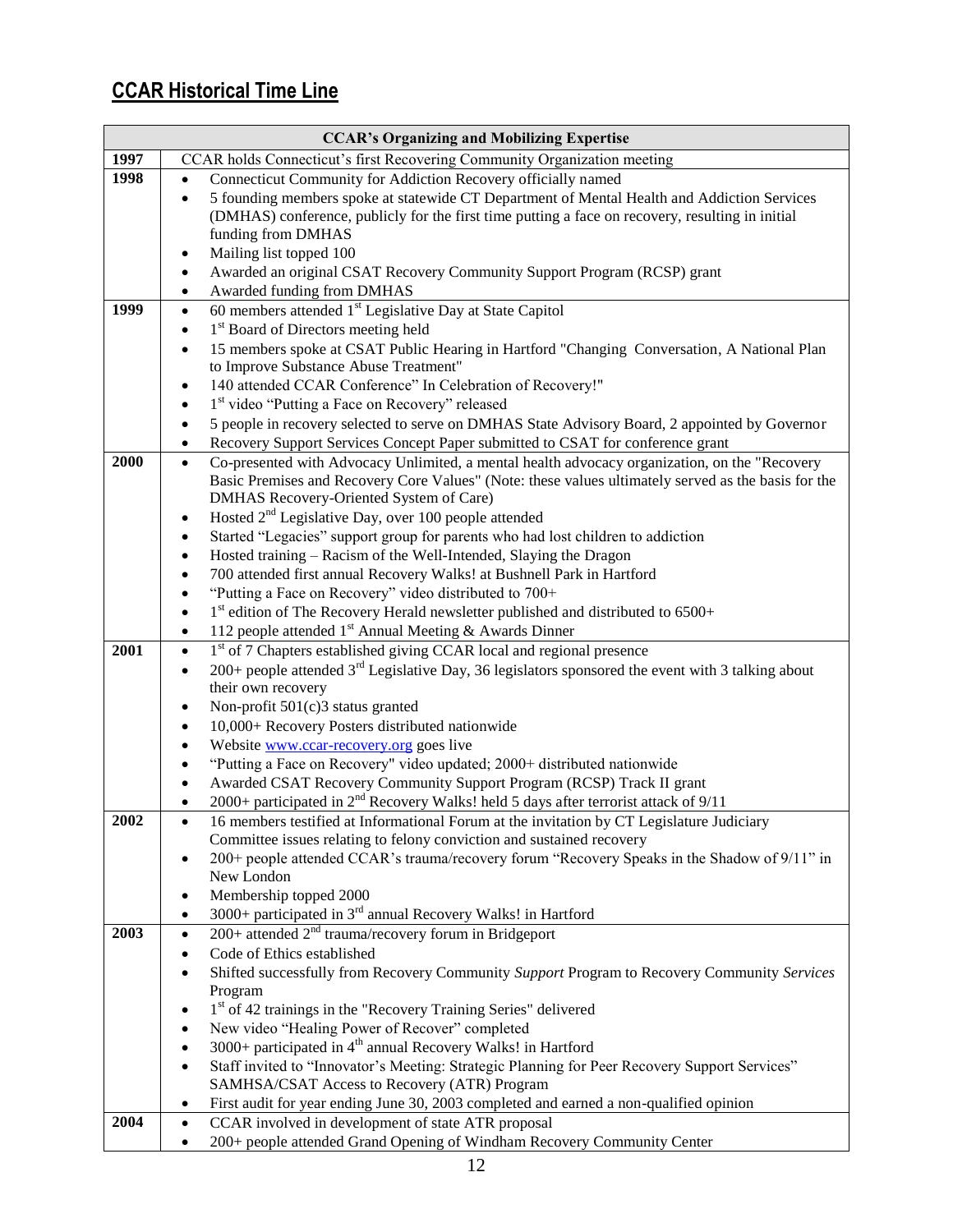# **CCAR Historical Time Line**

| <b>CCAR's Organizing and Mobilizing Expertise</b> |                                                                                                                                                            |  |  |
|---------------------------------------------------|------------------------------------------------------------------------------------------------------------------------------------------------------------|--|--|
| 1997                                              | CCAR holds Connecticut's first Recovering Community Organization meeting                                                                                   |  |  |
| 1998                                              | Connecticut Community for Addiction Recovery officially named<br>$\bullet$                                                                                 |  |  |
|                                                   | 5 founding members spoke at statewide CT Department of Mental Health and Addiction Services<br>$\bullet$                                                   |  |  |
|                                                   | (DMHAS) conference, publicly for the first time putting a face on recovery, resulting in initial                                                           |  |  |
|                                                   | funding from DMHAS                                                                                                                                         |  |  |
|                                                   | Mailing list topped 100<br>٠                                                                                                                               |  |  |
|                                                   | Awarded an original CSAT Recovery Community Support Program (RCSP) grant<br>٠                                                                              |  |  |
|                                                   | Awarded funding from DMHAS                                                                                                                                 |  |  |
| 1999                                              | 60 members attended 1 <sup>st</sup> Legislative Day at State Capitol<br>$\bullet$                                                                          |  |  |
|                                                   | 1 <sup>st</sup> Board of Directors meeting held                                                                                                            |  |  |
|                                                   | 15 members spoke at CSAT Public Hearing in Hartford "Changing Conversation, A National Plan<br>$\bullet$                                                   |  |  |
|                                                   | to Improve Substance Abuse Treatment"                                                                                                                      |  |  |
|                                                   | 140 attended CCAR Conference" In Celebration of Recovery!"                                                                                                 |  |  |
|                                                   | 1 <sup>st</sup> video "Putting a Face on Recovery" released<br>$\bullet$                                                                                   |  |  |
|                                                   | 5 people in recovery selected to serve on DMHAS State Advisory Board, 2 appointed by Governor<br>٠                                                         |  |  |
|                                                   | Recovery Support Services Concept Paper submitted to CSAT for conference grant                                                                             |  |  |
| 2000                                              | Co-presented with Advocacy Unlimited, a mental health advocacy organization, on the "Recovery<br>$\bullet$                                                 |  |  |
|                                                   | Basic Premises and Recovery Core Values" (Note: these values ultimately served as the basis for the                                                        |  |  |
|                                                   | DMHAS Recovery-Oriented System of Care)<br>Hosted $2nd$ Legislative Day, over 100 people attended                                                          |  |  |
|                                                   | $\bullet$<br>Started "Legacies" support group for parents who had lost children to addiction<br>٠                                                          |  |  |
|                                                   | Hosted training – Racism of the Well-Intended, Slaying the Dragon                                                                                          |  |  |
|                                                   | 700 attended first annual Recovery Walks! at Bushnell Park in Hartford                                                                                     |  |  |
|                                                   | "Putting a Face on Recovery" video distributed to 700+<br>٠                                                                                                |  |  |
|                                                   | $1st$ edition of The Recovery Herald newsletter published and distributed to 6500+<br>$\bullet$                                                            |  |  |
|                                                   | 112 people attended 1 <sup>st</sup> Annual Meeting & Awards Dinner<br>٠                                                                                    |  |  |
| 2001                                              | 1 <sup>st</sup> of 7 Chapters established giving CCAR local and regional presence<br>$\bullet$                                                             |  |  |
|                                                   | 200+ people attended $3rd$ Legislative Day, 36 legislators sponsored the event with 3 talking about                                                        |  |  |
|                                                   | their own recovery                                                                                                                                         |  |  |
|                                                   | Non-profit 501(c)3 status granted                                                                                                                          |  |  |
|                                                   | 10,000+ Recovery Posters distributed nationwide                                                                                                            |  |  |
|                                                   | Website www.ccar-recovery.org goes live                                                                                                                    |  |  |
|                                                   | "Putting a Face on Recovery" video updated; 2000+ distributed nationwide                                                                                   |  |  |
|                                                   | Awarded CSAT Recovery Community Support Program (RCSP) Track II grant                                                                                      |  |  |
|                                                   | 2000+ participated in $2^{nd}$ Recovery Walks! held 5 days after terrorist attack of $9/11$                                                                |  |  |
| 2002                                              | 16 members testified at Informational Forum at the invitation by CT Legislature Judiciary                                                                  |  |  |
|                                                   | Committee issues relating to felony conviction and sustained recovery                                                                                      |  |  |
|                                                   | 200+ people attended CCAR's trauma/recovery forum "Recovery Speaks in the Shadow of 9/11" in                                                               |  |  |
|                                                   | New London                                                                                                                                                 |  |  |
|                                                   | Membership topped 2000<br>٠                                                                                                                                |  |  |
|                                                   | 3000+ participated in 3 <sup>rd</sup> annual Recovery Walks! in Hartford                                                                                   |  |  |
| 2003                                              | $200+$ attended $2nd$ trauma/recovery forum in Bridgeport<br>$\bullet$                                                                                     |  |  |
|                                                   | Code of Ethics established                                                                                                                                 |  |  |
|                                                   | Shifted successfully from Recovery Community Support Program to Recovery Community Services<br>$\bullet$                                                   |  |  |
|                                                   | Program                                                                                                                                                    |  |  |
|                                                   | 1st of 42 trainings in the "Recovery Training Series" delivered<br>$\bullet$                                                                               |  |  |
|                                                   | New video "Healing Power of Recover" completed<br>$\bullet$                                                                                                |  |  |
|                                                   | 3000+ participated in 4 <sup>th</sup> annual Recovery Walks! in Hartford<br>$\bullet$                                                                      |  |  |
|                                                   | Staff invited to "Innovator's Meeting: Strategic Planning for Peer Recovery Support Services"<br>$\bullet$<br>SAMHSA/CSAT Access to Recovery (ATR) Program |  |  |
|                                                   | First audit for year ending June 30, 2003 completed and earned a non-qualified opinion<br>٠                                                                |  |  |
| 2004                                              | CCAR involved in development of state ATR proposal<br>$\bullet$                                                                                            |  |  |
|                                                   | 200+ people attended Grand Opening of Windham Recovery Community Center<br>$\bullet$                                                                       |  |  |
|                                                   |                                                                                                                                                            |  |  |